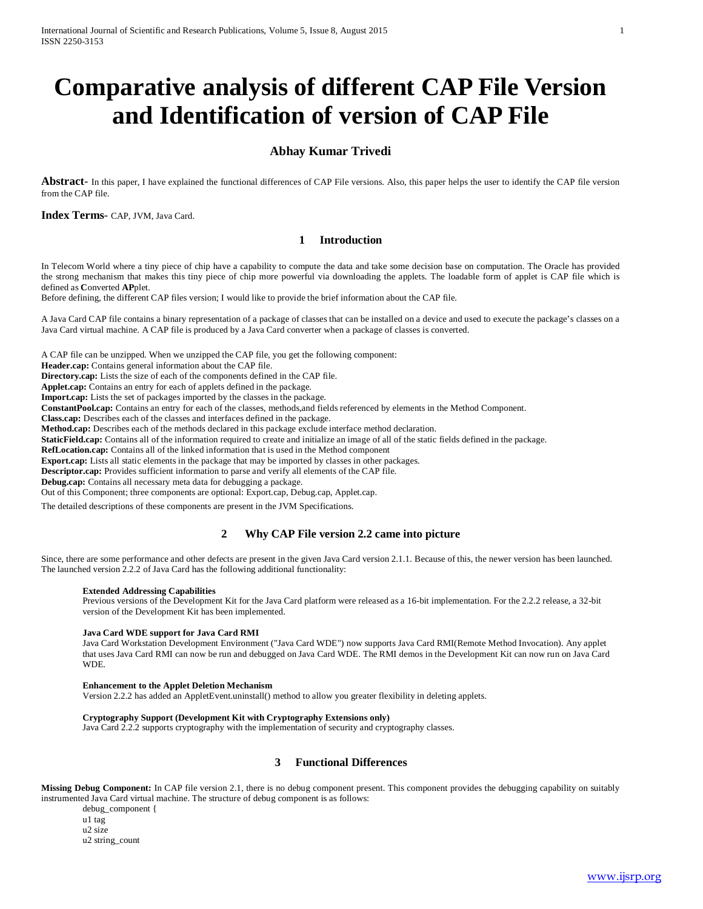# **Comparative analysis of different CAP File Version and Identification of version of CAP File**

# **Abhay Kumar Trivedi**

**Abstract**- In this paper, I have explained the functional differences of CAP File versions. Also, this paper helps the user to identify the CAP file version from the CAP file.

**Index Terms**- CAP, JVM, Java Card.

## **1 Introduction**

In Telecom World where a tiny piece of chip have a capability to compute the data and take some decision base on computation. The Oracle has provided the strong mechanism that makes this tiny piece of chip more powerful via downloading the applets. The loadable form of applet is CAP file which is defined as **C**onverted **AP**plet.

Before defining, the different CAP files version; I would like to provide the brief information about the CAP file.

A Java Card CAP file contains a binary representation of a package of classes that can be installed on a device and used to execute the package's classes on a Java Card virtual machine. A CAP file is produced by a Java Card converter when a package of classes is converted.

A CAP file can be unzipped. When we unzipped the CAP file, you get the following component:

**Header.cap:** Contains general information about the CAP file.

**Directory.cap:** Lists the size of each of the components defined in the CAP file.

**Applet.cap:** Contains an entry for each of applets defined in the package.

**Import.cap:** Lists the set of packages imported by the classes in the package.

**ConstantPool.cap:** Contains an entry for each of the classes, methods,and fields referenced by elements in the Method Component.

**Class.cap:** Describes each of the classes and interfaces defined in the package.

**Method.cap:** Describes each of the methods declared in this package exclude interface method declaration.

**StaticField.cap:** Contains all of the information required to create and initialize an image of all of the static fields defined in the package.

**RefLocation.cap:** Contains all of the linked information that is used in the Method component

**Export.cap:** Lists all static elements in the package that may be imported by classes in other packages.

**Descriptor.cap:** Provides sufficient information to parse and verify all elements of the CAP file.

**Debug.cap:** Contains all necessary meta data for debugging a package.

Out of this Component; three components are optional: Export.cap, Debug.cap, Applet.cap.

The detailed descriptions of these components are present in the JVM Specifications.

#### **2 Why CAP File version 2.2 came into picture**

Since, there are some performance and other defects are present in the given Java Card version 2.1.1. Because of this, the newer version has been launched. The launched version 2.2.2 of Java Card has the following additional functionality:

#### **Extended Addressing Capabilities**

Previous versions of the Development Kit for the Java Card platform were released as a 16-bit implementation. For the 2.2.2 release, a 32-bit version of the Development Kit has been implemented.

#### **Java Card WDE support for Java Card RMI**

Java Card Workstation Development Environment ("Java Card WDE") now supports Java Card RMI(Remote Method Invocation). Any applet that uses Java Card RMI can now be run and debugged on Java Card WDE. The RMI demos in the Development Kit can now run on Java Card WDE.

#### **Enhancement to the Applet Deletion Mechanism**

Version 2.2.2 has added an AppletEvent.uninstall() method to allow you greater flexibility in deleting applets.

#### **Cryptography Support (Development Kit with Cryptography Extensions only)**

Java Card 2.2.2 supports cryptography with the implementation of security and cryptography classes.

#### **3 Functional Differences**

**Missing Debug Component:** In CAP file version 2.1, there is no debug component present. This component provides the debugging capability on suitably instrumented Java Card virtual machine. The structure of debug component is as follows:

debug\_component { u1 tag u2 size u2 string\_count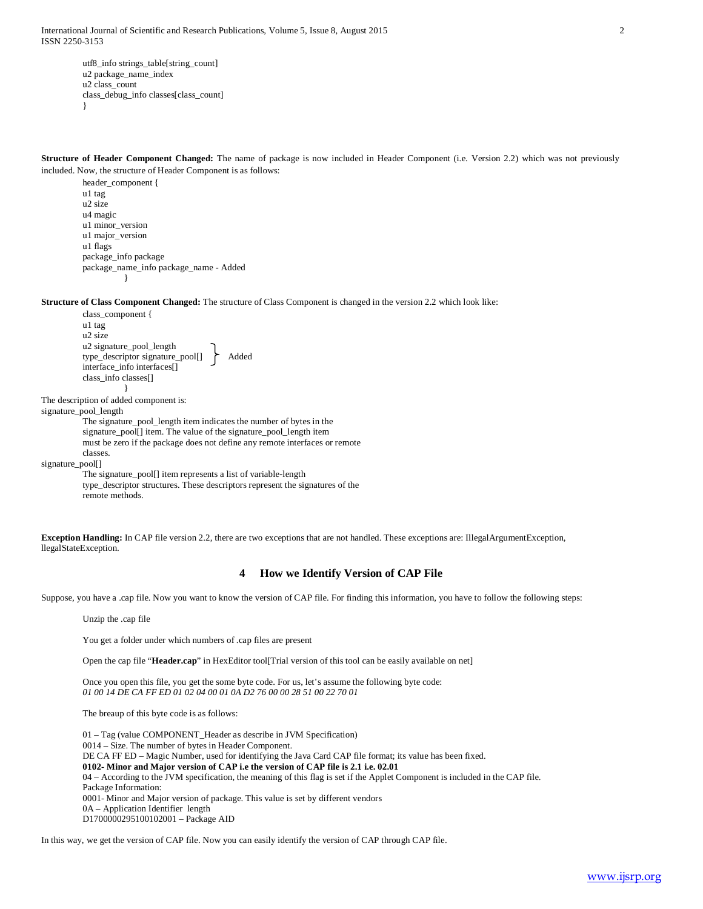International Journal of Scientific and Research Publications, Volume 5, Issue 8, August 2015 2 ISSN 2250-3153

utf8\_info strings\_table[string\_count] u2 package\_name\_index u2 class\_count class\_debug\_info classes[class\_count] }

**Structure of Header Component Changed:** The name of package is now included in Header Component (i.e. Version 2.2) which was not previously included. Now, the structure of Header Component is as follows:

header\_component { u1 tag u2 size u4 magic u1 minor\_version u1 major\_version u1 flags package\_info package package\_name\_info package\_name - Added }

**Structure of Class Component Changed:** The structure of Class Component is changed in the version 2.2 which look like:

class\_component { u1 tag u2 size u2 signature\_pool\_length type\_descriptor signature\_pool[] Added interface\_info interfaces[] class\_info classes[] }

The description of added component is:

signature\_pool\_length

The signature\_pool\_length item indicates the number of bytes in the signature\_pool[] item. The value of the signature\_pool\_length item must be zero if the package does not define any remote interfaces or remote classes.

signature\_pool[]

The signature\_pool[] item represents a list of variable-length type\_descriptor structures. These descriptors represent the signatures of the remote methods.

**Exception Handling:** In CAP file version 2.2, there are two exceptions that are not handled. These exceptions are: IllegalArgumentException, llegalStateException.

## **4 How we Identify Version of CAP File**

Suppose, you have a .cap file. Now you want to know the version of CAP file. For finding this information, you have to follow the following steps:

Unzip the .cap file

You get a folder under which numbers of .cap files are present

Open the cap file "**Header.cap**" in HexEditor tool[Trial version of this tool can be easily available on net]

Once you open this file, you get the some byte code. For us, let's assume the following byte code: *01 00 14 DE CA FF ED 01 02 04 00 01 0A D2 76 00 00 28 51 00 22 70 01*

The breaup of this byte code is as follows:

01 – Tag (value COMPONENT\_Header as describe in JVM Specification) 0014 – Size. The number of bytes in Header Component. DE CA FF ED – Magic Number, used for identifying the Java Card CAP file format; its value has been fixed. **0102- Minor and Major version of CAP i.e the version of CAP file is 2.1 i.e. 02.01** 04 – According to the JVM specification, the meaning of this flag is set if the Applet Component is included in the CAP file. Package Information: 0001- Minor and Major version of package. This value is set by different vendors 0A – Application Identifier length D1700000295100102001 – Package AID

In this way, we get the version of CAP file. Now you can easily identify the version of CAP through CAP file.